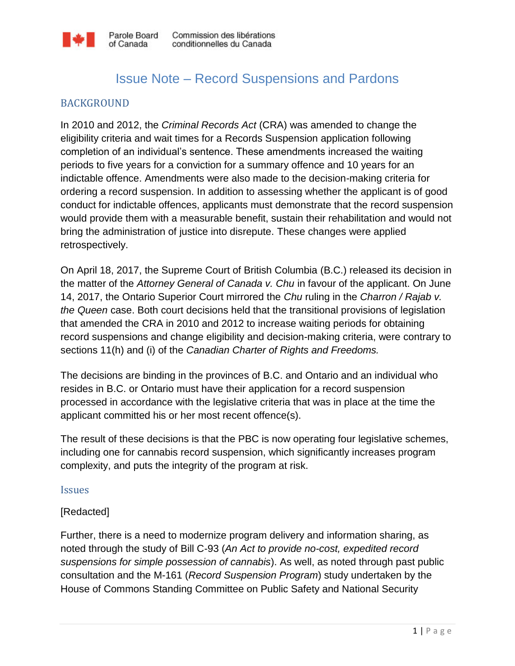

# Issue Note – Record Suspensions and Pardons

### BACKGROUND

In 2010 and 2012, the *Criminal Records Act* (CRA) was amended to change the eligibility criteria and wait times for a Records Suspension application following completion of an individual's sentence. These amendments increased the waiting periods to five years for a conviction for a summary offence and 10 years for an indictable offence. Amendments were also made to the decision-making criteria for ordering a record suspension. In addition to assessing whether the applicant is of good conduct for indictable offences, applicants must demonstrate that the record suspension would provide them with a measurable benefit, sustain their rehabilitation and would not bring the administration of justice into disrepute. These changes were applied retrospectively.

On April 18, 2017, the Supreme Court of British Columbia (B.C.) released its decision in the matter of the *Attorney General of Canada v. Chu* in favour of the applicant. On June 14, 2017, the Ontario Superior Court mirrored the *Chu* ruling in the *Charron / Rajab v. the Queen* case. Both court decisions held that the transitional provisions of legislation that amended the CRA in 2010 and 2012 to increase waiting periods for obtaining record suspensions and change eligibility and decision-making criteria, were contrary to sections 11(h) and (i) of the *Canadian Charter of Rights and Freedoms.*

The decisions are binding in the provinces of B.C. and Ontario and an individual who resides in B.C. or Ontario must have their application for a record suspension processed in accordance with the legislative criteria that was in place at the time the applicant committed his or her most recent offence(s).

The result of these decisions is that the PBC is now operating four legislative schemes, including one for cannabis record suspension, which significantly increases program complexity, and puts the integrity of the program at risk.

#### Issues

#### [Redacted]

Further, there is a need to modernize program delivery and information sharing, as noted through the study of Bill C-93 (*An Act to provide no-cost, expedited record suspensions for simple possession of cannabis*). As well, as noted through past public consultation and the M-161 (*Record Suspension Program*) study undertaken by the House of Commons Standing Committee on Public Safety and National Security